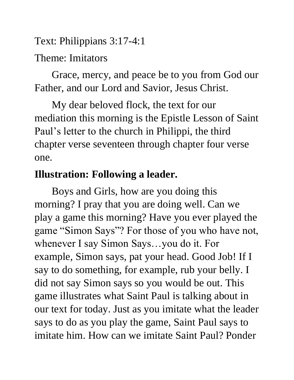Text: Philippians 3:17-4:1

#### Theme: Imitators

Grace, mercy, and peace be to you from God our Father, and our Lord and Savior, Jesus Christ.

My dear beloved flock, the text for our mediation this morning is the Epistle Lesson of Saint Paul's letter to the church in Philippi, the third chapter verse seventeen through chapter four verse one.

### **Illustration: Following a leader.**

Boys and Girls, how are you doing this morning? I pray that you are doing well. Can we play a game this morning? Have you ever played the game "Simon Says"? For those of you who have not, whenever I say Simon Says…you do it. For example, Simon says, pat your head. Good Job! If I say to do something, for example, rub your belly. I did not say Simon says so you would be out. This game illustrates what Saint Paul is talking about in our text for today. Just as you imitate what the leader says to do as you play the game, Saint Paul says to imitate him. How can we imitate Saint Paul? Ponder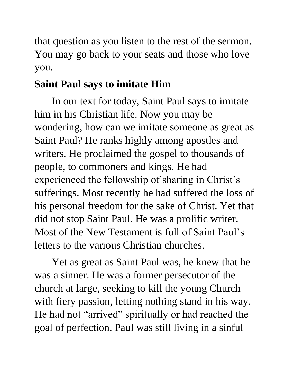that question as you listen to the rest of the sermon. You may go back to your seats and those who love you.

### **Saint Paul says to imitate Him**

In our text for today, Saint Paul says to imitate him in his Christian life. Now you may be wondering, how can we imitate someone as great as Saint Paul? He ranks highly among apostles and writers. He proclaimed the gospel to thousands of people, to commoners and kings. He had experienced the fellowship of sharing in Christ's sufferings. Most recently he had suffered the loss of his personal freedom for the sake of Christ. Yet that did not stop Saint Paul. He was a prolific writer. Most of the New Testament is full of Saint Paul's letters to the various Christian churches.

Yet as great as Saint Paul was, he knew that he was a sinner. He was a former persecutor of the church at large, seeking to kill the young Church with fiery passion, letting nothing stand in his way. He had not "arrived" spiritually or had reached the goal of perfection. Paul was still living in a sinful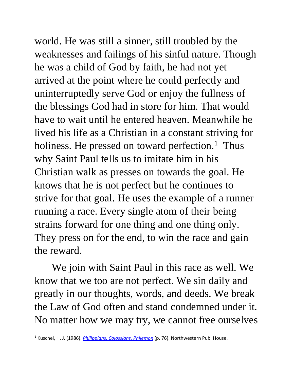world. He was still a sinner, still troubled by the weaknesses and failings of his sinful nature. Though he was a child of God by faith, he had not yet arrived at the point where he could perfectly and uninterruptedly serve God or enjoy the fullness of the blessings God had in store for him. That would have to wait until he entered heaven. Meanwhile he lived his life as a Christian in a constant striving for holiness. He pressed on toward perfection.<sup>1</sup> Thus why Saint Paul tells us to imitate him in his Christian walk as presses on towards the goal. He knows that he is not perfect but he continues to strive for that goal. He uses the example of a runner running a race. Every single atom of their being strains forward for one thing and one thing only. They press on for the end, to win the race and gain the reward.

We join with Saint Paul in this race as well. We know that we too are not perfect. We sin daily and greatly in our thoughts, words, and deeds. We break the Law of God often and stand condemned under it. No matter how we may try, we cannot free ourselves

<sup>1</sup> Kuschel, H. J. (1986). *[Philippians, Colossians, Philemon](https://ref.ly/logosres/pb71php?ref=Bible.Php3.12-4.1&off=2453&ctx=nformity+to+Christ.+~He+had+become+a+reve)* (p. 76). Northwestern Pub. House.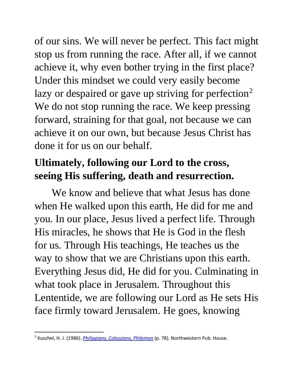of our sins. We will never be perfect. This fact might stop us from running the race. After all, if we cannot achieve it, why even bother trying in the first place? Under this mindset we could very easily become lazy or despaired or gave up striving for perfection<sup>2</sup> We do not stop running the race. We keep pressing forward, straining for that goal, not because we can achieve it on our own, but because Jesus Christ has done it for us on our behalf.

## **Ultimately, following our Lord to the cross, seeing His suffering, death and resurrection.**

We know and believe that what Jesus has done when He walked upon this earth, He did for me and you. In our place, Jesus lived a perfect life. Through His miracles, he shows that He is God in the flesh for us. Through His teachings, He teaches us the way to show that we are Christians upon this earth. Everything Jesus did, He did for you. Culminating in what took place in Jerusalem. Throughout this Lententide, we are following our Lord as He sets His face firmly toward Jerusalem. He goes, knowing

<sup>2</sup> Kuschel, H. J. (1986). *[Philippians, Colossians, Philemon](https://ref.ly/logosres/pb71php?ref=Bible.Php3.12-4.1&off=6506&ctx=+his+life+on+earth.+~That+did+not+mean+he)* (p. 78). Northwestern Pub. House.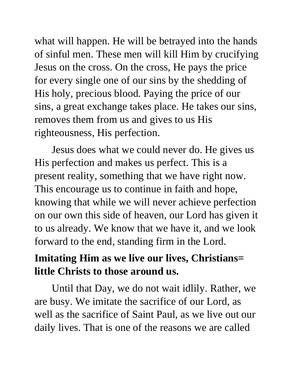what will happen. He will be betrayed into the hands of sinful men. These men will kill Him by crucifying Jesus on the cross. On the cross, He pays the price for every single one of our sins by the shedding of His holy, precious blood. Paying the price of our sins, a great exchange takes place. He takes our sins, removes them from us and gives to us His righteousness, His perfection.

Jesus does what we could never do. He gives us His perfection and makes us perfect. This is a present reality, something that we have right now. This encourage us to continue in faith and hope, knowing that while we will never achieve perfection on our own this side of heaven, our Lord has given it to us already. We know that we have it, and we look forward to the end, standing firm in the Lord.

# **Imitating Him as we live our lives, Christians= little Christs to those around us.**

Until that Day, we do not wait idlily. Rather, we are busy. We imitate the sacrifice of our Lord, as well as the sacrifice of Saint Paul, as we live out our daily lives. That is one of the reasons we are called